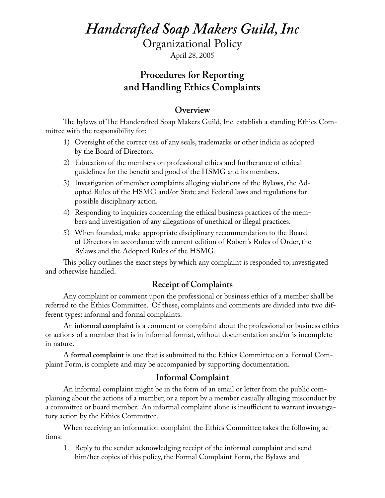# *Handcrafted Soap Makers Guild, Inc*

Organizational Policy

April 28, 2005

## **Procedures for Reporting and Handling Ethics Complaints**

#### **Overview**

The bylaws of The Handcrafted Soap Makers Guild, Inc. establish a standing Ethics Committee with the responsibility for:

- 1) Oversight of the correct use of any seals, trademarks or other indicia as adopted by the Board of Directors.
- 2) Education of the members on professional ethics and furtherance of ethical guidelines for the benefit and good of the HSMG and its members.
- 3) Investigation of member complaints alleging violations of the Bylaws, the Adopted Rules of the HSMG and/or State and Federal laws and regulations for possible disciplinary action.
- 4) Responding to inquiries concerning the ethical business practices of the members and investigation of any allegations of unethical or illegal practices.
- 5) When founded, make appropriate disciplinary recommendation to the Board of Directors in accordance with current edition of Robert's Rules of Order, the Bylaws and the Adopted Rules of the HSMG.

This policy outlines the exact steps by which any complaint is responded to, investigated and otherwise handled.

## **Receipt of Complaints**

Any complaint or comment upon the professional or business ethics of a member shall be referred to the Ethics Committee. Of these, complaints and comments are divided into two different types: informal and formal complaints.

An **informal complaint** is a comment or complaint about the professional or business ethics or actions of a member that is in informal format, without documentation and/or is incomplete in nature.

A **formal complaint** is one that is submitted to the Ethics Committee on a Formal Complaint Form, is complete and may be accompanied by supporting documentation.

#### **Informal Complaint**

An informal complaint might be in the form of an email or letter from the public complaining about the actions of a member, or a report by a member casually alleging misconduct by a committee or board member. An informal complaint alone is insufficient to warrant investigatory action by the Ethics Committee.

When receiving an information complaint the Ethics Committee takes the following actions:

1. Reply to the sender acknowledging receipt of the informal complaint and send him/her copies of this policy, the Formal Complaint Form, the Bylaws and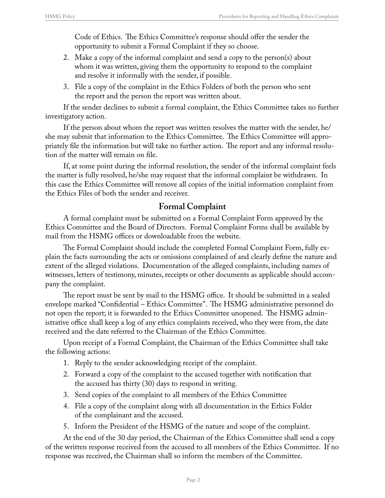Code of Ethics. The Ethics Committee's response should offer the sender the opportunity to submit a Formal Complaint if they so choose.

- 2. Make a copy of the informal complaint and send a copy to the person(s) about whom it was written, giving them the opportunity to respond to the complaint and resolve it informally with the sender, if possible.
- 3. File a copy of the complaint in the Ethics Folders of both the person who sent the report and the person the report was written about.

If the sender declines to submit a formal complaint, the Ethics Committee takes no further investigatory action.

If the person about whom the report was written resolves the matter with the sender, he/ she may submit that information to the Ethics Committee. The Ethics Committee will appropriately file the information but will take no further action. The report and any informal resolution of the matter will remain on file.

If, at some point during the informal resolution, the sender of the informal complaint feels the matter is fully resolved, he/she may request that the informal complaint be withdrawn. In this case the Ethics Committee will remove all copies of the initial information complaint from the Ethics Files of both the sender and receiver.

## **Formal Complaint**

A formal complaint must be submitted on a Formal Complaint Form approved by the Ethics Committee and the Board of Directors. Formal Complaint Forms shall be available by mail from the HSMG offices or downloadable from the website.

The Formal Complaint should include the completed Formal Complaint Form, fully explain the facts surrounding the acts or omissions complained of and clearly define the nature and extent of the alleged violations. Documentation of the alleged complaints, including names of witnesses, letters of testimony, minutes, receipts or other documents as applicable should accompany the complaint.

The report must be sent by mail to the HSMG office. It should be submitted in a sealed envelope marked "Confidential – Ethics Committee". The HSMG administrative personnel do not open the report; it is forwarded to the Ethics Committee unopened. The HSMG administrative office shall keep a log of any ethics complaints received, who they were from, the date received and the date referred to the Chairman of the Ethics Committee.

Upon receipt of a Formal Complaint, the Chairman of the Ethics Committee shall take the following actions:

- 1. Reply to the sender acknowledging receipt of the complaint.
- 2. Forward a copy of the complaint to the accused together with notification that the accused has thirty (30) days to respond in writing.
- 3. Send copies of the complaint to all members of the Ethics Committee
- 4. File a copy of the complaint along with all documentation in the Ethics Folder of the complainant and the accused.
- 5. Inform the President of the HSMG of the nature and scope of the complaint.

At the end of the 30 day period, the Chairman of the Ethics Committee shall send a copy of the written response received from the accused to all members of the Ethics Committee. If no response was received, the Chairman shall so inform the members of the Committee.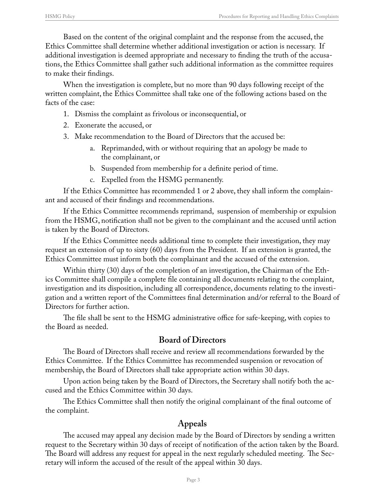Based on the content of the original complaint and the response from the accused, the Ethics Committee shall determine whether additional investigation or action is necessary. If additional investigation is deemed appropriate and necessary to finding the truth of the accusations, the Ethics Committee shall gather such additional information as the committee requires to make their findings.

When the investigation is complete, but no more than 90 days following receipt of the written complaint, the Ethics Committee shall take one of the following actions based on the facts of the case:

- 1. Dismiss the complaint as frivolous or inconsequential, or
- 2. Exonerate the accused, or
- 3. Make recommendation to the Board of Directors that the accused be:
	- a. Reprimanded, with or without requiring that an apology be made to the complainant, or
	- b. Suspended from membership for a definite period of time.
	- c. Expelled from the HSMG permanently.

If the Ethics Committee has recommended 1 or 2 above, they shall inform the complainant and accused of their findings and recommendations.

If the Ethics Committee recommends reprimand, suspension of membership or expulsion from the HSMG, notification shall not be given to the complainant and the accused until action is taken by the Board of Directors.

If the Ethics Committee needs additional time to complete their investigation, they may request an extension of up to sixty (60) days from the President. If an extension is granted, the Ethics Committee must inform both the complainant and the accused of the extension.

Within thirty (30) days of the completion of an investigation, the Chairman of the Ethics Committee shall compile a complete file containing all documents relating to the complaint, investigation and its disposition, including all correspondence, documents relating to the investigation and a written report of the Committees final determination and/or referral to the Board of Directors for further action.

The file shall be sent to the HSMG administrative office for safe-keeping, with copies to the Board as needed.

#### **Board of Directors**

The Board of Directors shall receive and review all recommendations forwarded by the Ethics Committee. If the Ethics Committee has recommended suspension or revocation of membership, the Board of Directors shall take appropriate action within 30 days.

Upon action being taken by the Board of Directors, the Secretary shall notify both the accused and the Ethics Committee within 30 days.

The Ethics Committee shall then notify the original complainant of the final outcome of the complaint.

#### **Appeals**

The accused may appeal any decision made by the Board of Directors by sending a written request to the Secretary within 30 days of receipt of notification of the action taken by the Board. The Board will address any request for appeal in the next regularly scheduled meeting. The Secretary will inform the accused of the result of the appeal within 30 days.